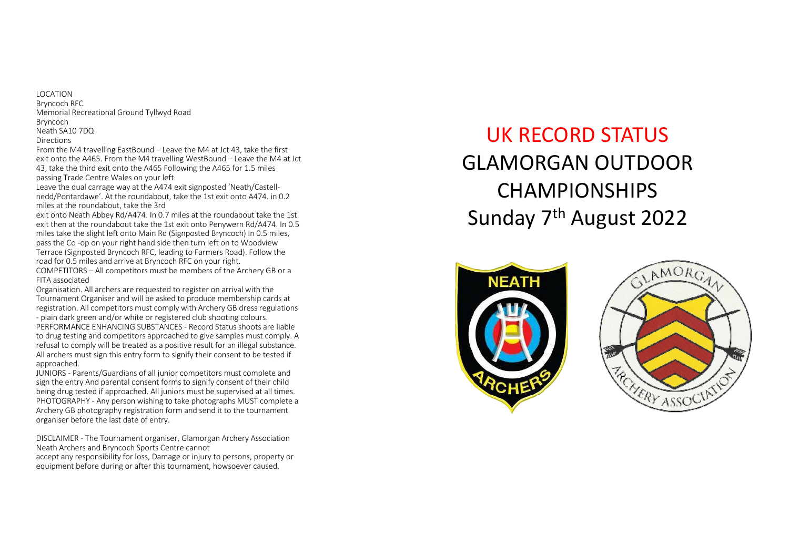LOCATION Bryncoch RFC Memorial Recreational Ground Tyllwyd Road Bryncoch Neath SA10 7DQ Directions 

From the M4 travelling EastBound - Leave the M4 at Jct 43, take the first exit onto the A465. From the M4 travelling WestBound - Leave the M4 at Jct 43, take the third exit onto the A465 Following the A465 for 1.5 miles passing Trade Centre Wales on your left.

Leave the dual carrage way at the A474 exit signposted 'Neath/Castellnedd/Pontardawe'. At the roundabout, take the 1st exit onto A474. in 0.2 miles at the roundabout, take the 3rd

exit onto Neath Abbey Rd/A474. In 0.7 miles at the roundabout take the 1st exit then at the roundabout take the 1st exit onto Penywern Rd/A474. In 0.5 miles take the slight left onto Main Rd (Signposted Bryncoch) In 0.5 miles, pass the Co-op on your right hand side then turn left on to Woodview Terrace (Signposted Bryncoch RFC, leading to Farmers Road). Follow the road for 0.5 miles and arrive at Bryncoch RFC on your right. COMPETITORS - All competitors must be members of the Archery GB or a

FITA associated

Organisation. All archers are requested to register on arrival with the Tournament Organiser and will be asked to produce membership cards at registration. All competitors must comply with Archery GB dress regulations - plain dark green and/or white or registered club shooting colours.

PERFORMANCE ENHANCING SUBSTANCES - Record Status shoots are liable to drug testing and competitors approached to give samples must comply. A refusal to comply will be treated as a positive result for an illegal substance. All archers must sign this entry form to signify their consent to be tested if approached. 

JUNIORS - Parents/Guardians of all junior competitors must complete and sign the entry And parental consent forms to signify consent of their child being drug tested if approached. All juniors must be supervised at all times. PHOTOGRAPHY - Any person wishing to take photographs MUST complete a Archery GB photography registration form and send it to the tournament organiser before the last date of entry.

DISCLAIMER - The Tournament organiser, Glamorgan Archery Association Neath Archers and Bryncoch Sports Centre cannot accept any responsibility for loss, Damage or injury to persons, property or equipment before during or after this tournament, howsoever caused.

UK RECORD STATUS GLAMORGAN OUTDOOR CHAMPIONSHIPS Sunday 7<sup>th</sup> August 2022



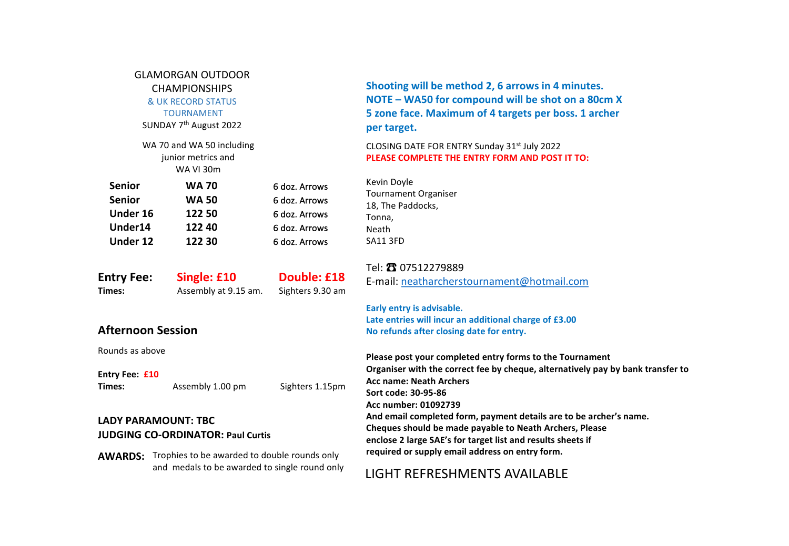|                                                                          | <b>GLAMORGAN OUTDOOR</b><br><b>CHAMPIONSHIPS</b><br>& UK RECORD STATUS<br><b>TOURNAMENT</b><br>SUNDAY 7 <sup>th</sup> August 2022 |                                                                                   | Shooting will be method 2, 6 arrows in 4 minutes.<br>NOTE - WA50 for compound will be shot on a 80cm X<br>5 zone face. Maximum of 4 targets per boss. 1 archer<br>per target.                                                                                                                      |  |  |  |  |
|--------------------------------------------------------------------------|-----------------------------------------------------------------------------------------------------------------------------------|-----------------------------------------------------------------------------------|----------------------------------------------------------------------------------------------------------------------------------------------------------------------------------------------------------------------------------------------------------------------------------------------------|--|--|--|--|
|                                                                          | WA 70 and WA 50 including<br>junior metrics and<br><b>WA VI 30m</b>                                                               |                                                                                   | CLOSING DATE FOR ENTRY Sunday 31 <sup>st</sup> July 2022<br>PLEASE COMPLETE THE ENTRY FORM AND POST IT TO:                                                                                                                                                                                         |  |  |  |  |
| <b>Senior</b><br><b>Senior</b><br>Under 16<br>Under14<br><b>Under 12</b> | <b>WA 70</b><br><b>WA 50</b><br>122 50<br>122 40<br>122 30                                                                        | 6 doz. Arrows<br>6 doz. Arrows<br>6 doz. Arrows<br>6 doz. Arrows<br>6 doz. Arrows | Kevin Doyle<br><b>Tournament Organiser</b><br>18, The Paddocks,<br>Tonna,<br>Neath<br><b>SA11 3FD</b>                                                                                                                                                                                              |  |  |  |  |
| <b>Entry Fee:</b><br>Times:                                              | Single: £10<br>Assembly at 9.15 am.                                                                                               | Double: £18<br>Sighters 9.30 am                                                   | Tel: 23 07512279889<br>E-mail: neatharcherstournament@hotmail.com<br>Early entry is advisable.                                                                                                                                                                                                     |  |  |  |  |
| <b>Afternoon Session</b>                                                 |                                                                                                                                   |                                                                                   | Late entries will incur an additional charge of £3.00<br>No refunds after closing date for entry.                                                                                                                                                                                                  |  |  |  |  |
| Rounds as above<br>Entry Fee: £10<br>Times:                              | Assembly 1.00 pm                                                                                                                  | Sighters 1.15pm                                                                   | Please post your completed entry forms to the Tournament<br>Organiser with the correct fee by cheque, alternatively pay by bank transfer to<br><b>Acc name: Neath Archers</b><br>Sort code: 30-95-86<br>Acc number: 01092739<br>And email completed form, payment details are to be archer's name. |  |  |  |  |
| <b>LADY PARAMOUNT: TBC</b>                                               | <b>JUDGING CO-ORDINATOR: Paul Curtis</b><br><b>AWARDS:</b> Trophies to be awarded to double rounds only                           |                                                                                   | Cheques should be made payable to Neath Archers, Please<br>enclose 2 large SAE's for target list and results sheets if<br>required or supply email address on entry form.                                                                                                                          |  |  |  |  |
|                                                                          | and medals to be awarded to single round only                                                                                     |                                                                                   | <b>LIGHT REFRESHMENTS AVAILABLE</b>                                                                                                                                                                                                                                                                |  |  |  |  |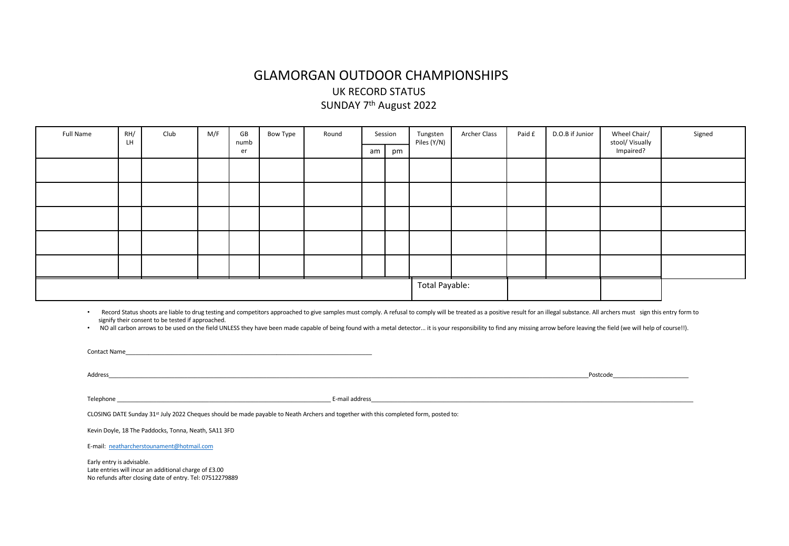#### GLAMORGAN OUTDOOR CHAMPIONSHIPS UK RECORD STATUS SUNDAY 7<sup>th</sup> August 2022

| Full Name | RH/<br>LH | Club | M/F | GB<br>numb | Bow Type | Round                 |    | Session | Tungsten<br>Piles (Y/N) | <b>Archer Class</b> | Paid £ | D.O.B if Junior | Wheel Chair/<br>stool/Visually | Signed |
|-----------|-----------|------|-----|------------|----------|-----------------------|----|---------|-------------------------|---------------------|--------|-----------------|--------------------------------|--------|
|           |           |      |     | er         |          |                       | am | pm      |                         |                     |        |                 | Impaired?                      |        |
|           |           |      |     |            |          |                       |    |         |                         |                     |        |                 |                                |        |
|           |           |      |     |            |          |                       |    |         |                         |                     |        |                 |                                |        |
|           |           |      |     |            |          |                       |    |         |                         |                     |        |                 |                                |        |
|           |           |      |     |            |          |                       |    |         |                         |                     |        |                 |                                |        |
|           |           |      |     |            |          |                       |    |         |                         |                     |        |                 |                                |        |
|           |           |      |     |            |          | <b>Total Payable:</b> |    |         |                         |                     |        |                 |                                |        |

. Record Status shoots are liable to drug testing and competitors approached to give samples must comply. A refusal to comply will be treated as a positive result for an illegal substance. All archers must sign this entry signify their consent to be tested if approached.

. NO all carbon arrows to be used on the field UNLESS they have been made capable of being found with a metal detector... it is your responsibility to find any missing arrow before leaving the field (we will help of course

| <b>Contact Name Contact Name Contact Name</b>                                                                                                                                                                                  |                                                                                                                                                                                                                                |                                                                                                                                                                                                                                |
|--------------------------------------------------------------------------------------------------------------------------------------------------------------------------------------------------------------------------------|--------------------------------------------------------------------------------------------------------------------------------------------------------------------------------------------------------------------------------|--------------------------------------------------------------------------------------------------------------------------------------------------------------------------------------------------------------------------------|
| Address and the contract of the contract of the contract of the contract of the contract of the contract of the contract of the contract of the contract of the contract of the contract of the contract of the contract of th |                                                                                                                                                                                                                                | Postcode and the contract of the contract of the contract of the contract of the contract of the contract of the contract of the contract of the contract of the contract of the contract of the contract of the contract of t |
| Telephone and the contract of the contract of the contract of the contract of the contract of the contract of the contract of the contract of the contract of the contract of the contract of the contract of the contract of  | E-mail address and the contract of the contract of the contract of the contract of the contract of the contract of the contract of the contract of the contract of the contract of the contract of the contract of the contrac |                                                                                                                                                                                                                                |
| CLOSING DATE Sunday 31 <sup>st</sup> July 2022 Cheques should be made payable to Neath Archers and together with this completed form, posted to:                                                                               |                                                                                                                                                                                                                                |                                                                                                                                                                                                                                |
| Kevin Doyle, 18 The Paddocks, Tonna, Neath, SA11 3FD                                                                                                                                                                           |                                                                                                                                                                                                                                |                                                                                                                                                                                                                                |
| E-mail: neatharcherstounament@hotmail.com                                                                                                                                                                                      |                                                                                                                                                                                                                                |                                                                                                                                                                                                                                |
| Early entry is advisable.<br>Late entries will incur an additional charge of £3.00<br>No refunds after closing date of entry. Tel: 07512279889                                                                                 |                                                                                                                                                                                                                                |                                                                                                                                                                                                                                |